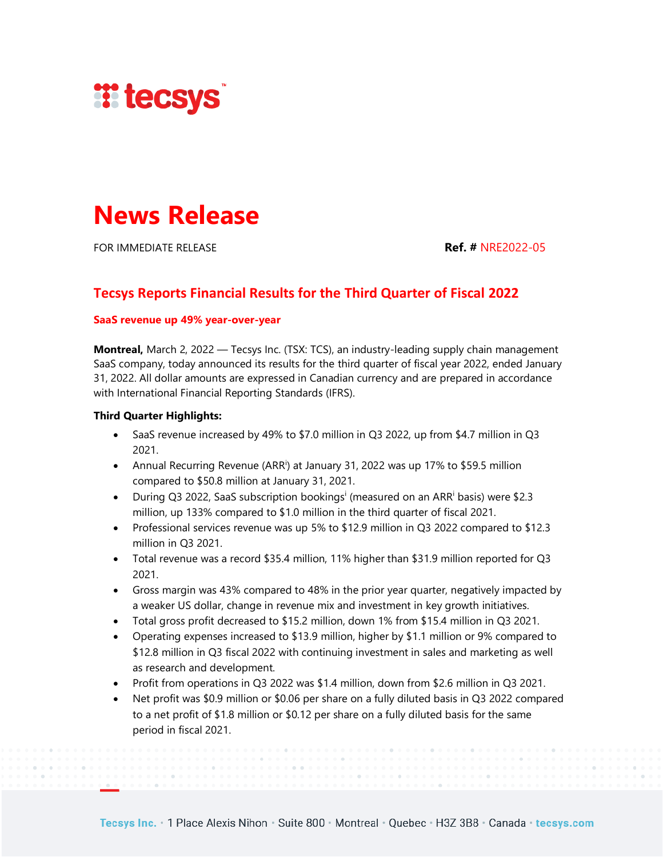

# **News Release**

FOR IMMEDIATE RELEASE **Ref. #** NRE2022-05

# **Tecsys Reports Financial Results for the Third Quarter of Fiscal 2022**

# **SaaS revenue up 49% year-over-year**

**Montreal,** March 2, 2022 — Tecsys Inc. (TSX: TCS), an industry-leading supply chain management SaaS company, today announced its results for the third quarter of fiscal year 2022, ended January 31, 2022. All dollar amounts are expressed in Canadian currency and are prepared in accordance with International Financial Reporting Standards (IFRS).

# **Third Quarter Highlights:**

- SaaS revenue increased by 49% to \$7.0 million in Q3 2022, up from \$4.7 million in Q3 2021.
- Annual Recurring Revenue (ARR<sup>i</sup>) at January 31, 2022 was up 17% to \$59.5 million compared to \$50.8 million at January 31, 2021.
- During Q3 2022, SaaS subscription bookings<sup>i</sup> (measured on an ARR<sup>i</sup> basis) were \$2.3 million, up 133% compared to \$1.0 million in the third quarter of fiscal 2021.
- Professional services revenue was up 5% to \$12.9 million in Q3 2022 compared to \$12.3 million in Q3 2021.
- Total revenue was a record \$35.4 million, 11% higher than \$31.9 million reported for Q3 2021.
- Gross margin was 43% compared to 48% in the prior year quarter, negatively impacted by a weaker US dollar, change in revenue mix and investment in key growth initiatives.
- Total gross profit decreased to \$15.2 million, down 1% from \$15.4 million in Q3 2021.
- Operating expenses increased to \$13.9 million, higher by \$1.1 million or 9% compared to \$12.8 million in Q3 fiscal 2022 with continuing investment in sales and marketing as well as research and development.
- Profit from operations in Q3 2022 was \$1.4 million, down from \$2.6 million in Q3 2021.
- Net profit was \$0.9 million or \$0.06 per share on a fully diluted basis in Q3 2022 compared to a net profit of \$1.8 million or \$0.12 per share on a fully diluted basis for the same period in fiscal 2021.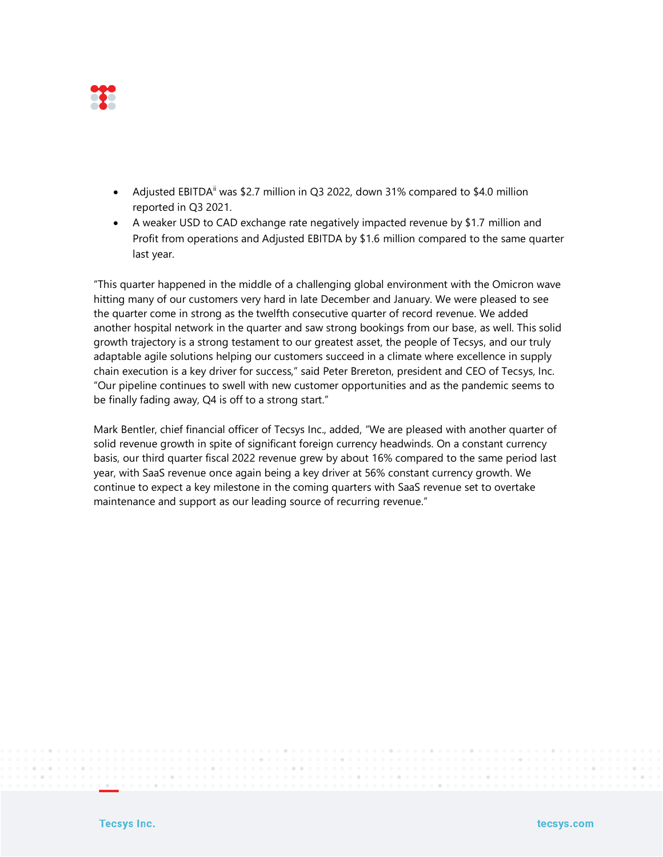

- Adjusted EBITDA<sup>ii</sup> was \$2.7 million in Q3 2022, down 31% compared to \$4.0 million reported in Q3 2021.
- A weaker USD to CAD exchange rate negatively impacted revenue by \$1.7 million and Profit from operations and Adjusted EBITDA by \$1.6 million compared to the same quarter last year.

"This quarter happened in the middle of a challenging global environment with the Omicron wave hitting many of our customers very hard in late December and January. We were pleased to see the quarter come in strong as the twelfth consecutive quarter of record revenue. We added another hospital network in the quarter and saw strong bookings from our base, as well. This solid growth trajectory is a strong testament to our greatest asset, the people of Tecsys, and our truly adaptable agile solutions helping our customers succeed in a climate where excellence in supply chain execution is a key driver for success," said Peter Brereton, president and CEO of Tecsys, Inc. "Our pipeline continues to swell with new customer opportunities and as the pandemic seems to be finally fading away, Q4 is off to a strong start."

Mark Bentler, chief financial officer of Tecsys Inc., added, "We are pleased with another quarter of solid revenue growth in spite of significant foreign currency headwinds. On a constant currency basis, our third quarter fiscal 2022 revenue grew by about 16% compared to the same period last year, with SaaS revenue once again being a key driver at 56% constant currency growth. We continue to expect a key milestone in the coming quarters with SaaS revenue set to overtake maintenance and support as our leading source of recurring revenue."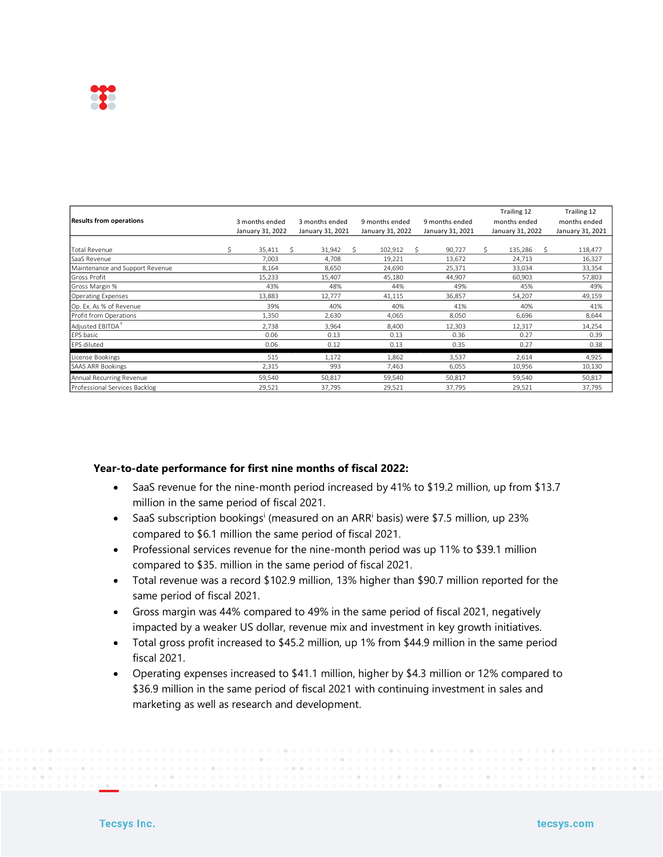

|                                 |                |                                                          |                |                  | Trailing 12      | Trailing 12      |
|---------------------------------|----------------|----------------------------------------------------------|----------------|------------------|------------------|------------------|
| <b>Results from operations</b>  | 3 months ended | 3 months ended                                           | 9 months ended | 9 months ended   | months ended     | months ended     |
|                                 |                | January 31, 2022<br>January 31, 2021<br>January 31, 2022 |                | January 31, 2021 | January 31, 2022 | January 31, 2021 |
|                                 |                |                                                          |                |                  |                  |                  |
| <b>Total Revenue</b>            | 35,411<br>Ś.   | 31,942<br>S                                              | Š.<br>102,912  | 90,727<br>Ŝ.     | 135,286<br>Ś.    | Ŝ.<br>118,477    |
| SaaS Revenue                    | 7,003          | 4,708                                                    | 19,221         | 13,672           | 24,713           | 16,327           |
| Maintenance and Support Revenue | 8,164          | 8,650                                                    | 24,690         | 25,371           | 33,034           | 33,354           |
| lGross Profit                   | 15,233         | 15,407                                                   | 45,180         | 44,907           | 60,903           | 57,803           |
| Gross Margin %                  | 43%            | 48%                                                      | 44%            | 49%              | 45%              | 49%              |
| Operating Expenses              | 13,883         | 12,777                                                   | 41,115         | 36,857           | 54,207           | 49,159           |
| Op. Ex. As % of Revenue         | 39%            | 40%                                                      | 40%            | 41%              | 40%              | 41%              |
| Profit from Operations          | 1,350          | 2,630                                                    | 4,065          | 8,050            | 6,696            | 8,644            |
| Adjusted EBITDA"                | 2,738          | 3,964                                                    | 8,400          | 12,303           | 12,317           | 14,254           |
| EPS basic                       | 0.06           | 0.13                                                     | 0.13           | 0.36             | 0.27             | 0.39             |
| EPS diluted                     | 0.06           | 0.12                                                     | 0.13           | 0.35             | 0.27             | 0.38             |
| License Bookings                | 515            | 1,172                                                    | 1,862          | 3,537            | 2,614            | 4,925            |
| <b>SAAS ARR Bookings</b>        | 2,315          | 993                                                      | 7,463          | 6,055            | 10,956           | 10,130           |
| Annual Recurring Revenue        | 59,540         | 50,817                                                   | 59,540         | 50,817           | 59,540           | 50,817           |
| Professional Services Backlog   | 29,521         | 37,795                                                   | 29,521         | 37,795           | 29,521           | 37,795           |

#### **Year-to-date performance for first nine months of fiscal 2022:**

- SaaS revenue for the nine-month period increased by 41% to \$19.2 million, up from \$13.7 million in the same period of fiscal 2021.
- SaaS subscription bookings<sup>i</sup> (measured on an ARR<sup>i</sup> basis) were \$7.5 million, up 23% compared to \$6.1 million the same period of fiscal 2021.
- Professional services revenue for the nine-month period was up 11% to \$39.1 million compared to \$35. million in the same period of fiscal 2021.
- Total revenue was a record \$102.9 million, 13% higher than \$90.7 million reported for the same period of fiscal 2021.
- Gross margin was 44% compared to 49% in the same period of fiscal 2021, negatively impacted by a weaker US dollar, revenue mix and investment in key growth initiatives.
- Total gross profit increased to \$45.2 million, up 1% from \$44.9 million in the same period fiscal 2021.
- Operating expenses increased to \$41.1 million, higher by \$4.3 million or 12% compared to \$36.9 million in the same period of fiscal 2021 with continuing investment in sales and marketing as well as research and development.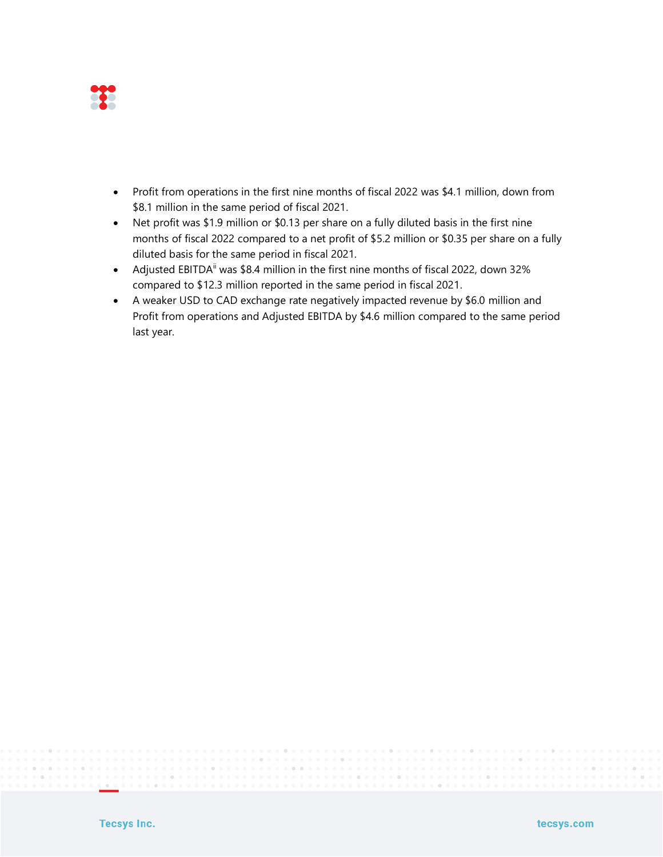

- Profit from operations in the first nine months of fiscal 2022 was \$4.1 million, down from \$8.1 million in the same period of fiscal 2021.
- Net profit was \$1.9 million or \$0.13 per share on a fully diluted basis in the first nine months of fiscal 2022 compared to a net profit of \$5.2 million or \$0.35 per share on a fully diluted basis for the same period in fiscal 2021.
- Adjusted EBITDA<sup>ii</sup> was \$8.4 million in the first nine months of fiscal 2022, down 32% compared to \$12.3 million reported in the same period in fiscal 2021.
- A weaker USD to CAD exchange rate negatively impacted revenue by \$6.0 million and Profit from operations and Adjusted EBITDA by \$4.6 million compared to the same period last year.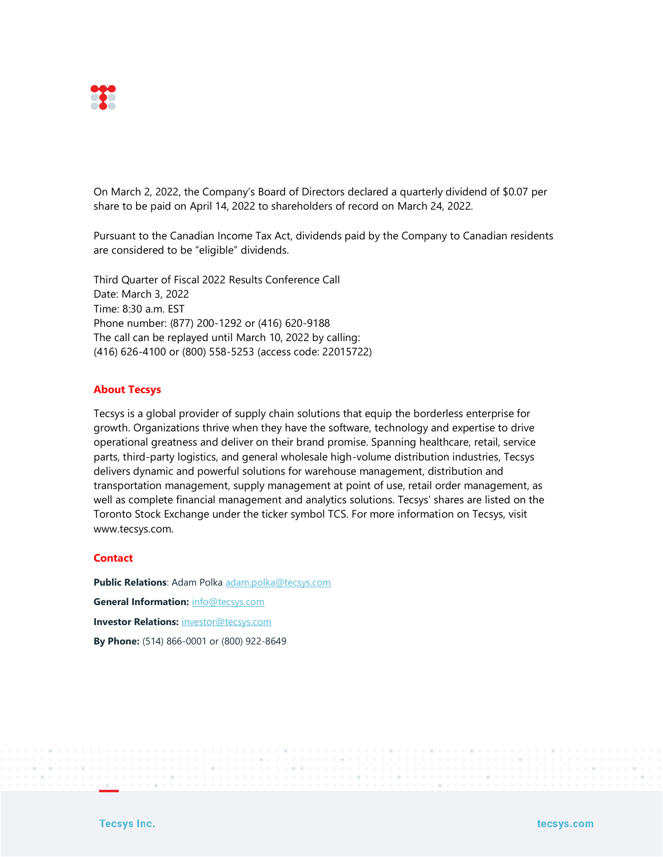

On March 2, 2022, the Company's Board of Directors declared a quarterly dividend of \$0.07 per share to be paid on April 14, 2022 to shareholders of record on March 24, 2022.

Pursuant to the Canadian Income Tax Act, dividends paid by the Company to Canadian residents are considered to be "eligible" dividends.

Third Quarter of Fiscal 2022 Results Conference Call Date: March 3, 2022 Time: 8:30 a.m. EST Phone number: (877) 200-1292 or (416) 620-9188 The call can be replayed until March 10, 2022 by calling: (416) 626-4100 or (800) 558-5253 (access code: 22015722)

# **About Tecsys**

Tecsys is a global provider of supply chain solutions that equip the borderless enterprise for growth. Organizations thrive when they have the software, technology and expertise to drive operational greatness and deliver on their brand promise. Spanning healthcare, retail, service parts, third-party logistics, and general wholesale high-volume distribution industries, Tecsys delivers dynamic and powerful solutions for warehouse management, distribution and transportation management, supply management at point of use, retail order management, as well as complete financial management and analytics solutions. Tecsys' shares are listed on the Toronto Stock Exchange under the ticker symbol TCS. For more information on Tecsys, visit www.tecsys.com.

# **Contact**

**Public Relations**: Adam Polka [adam.polka@tecsys.com](mailto:adam.polka@tecsys.com) **General Information:** [info@tecsys.com](mailto:info@tecsys.com) **Investor Relations:** [investor@tecsys.com](mailto:investor@tecsys.com) **By Phone:** (514) 866-0001 or (800) 922-8649

**Tecsys Inc.**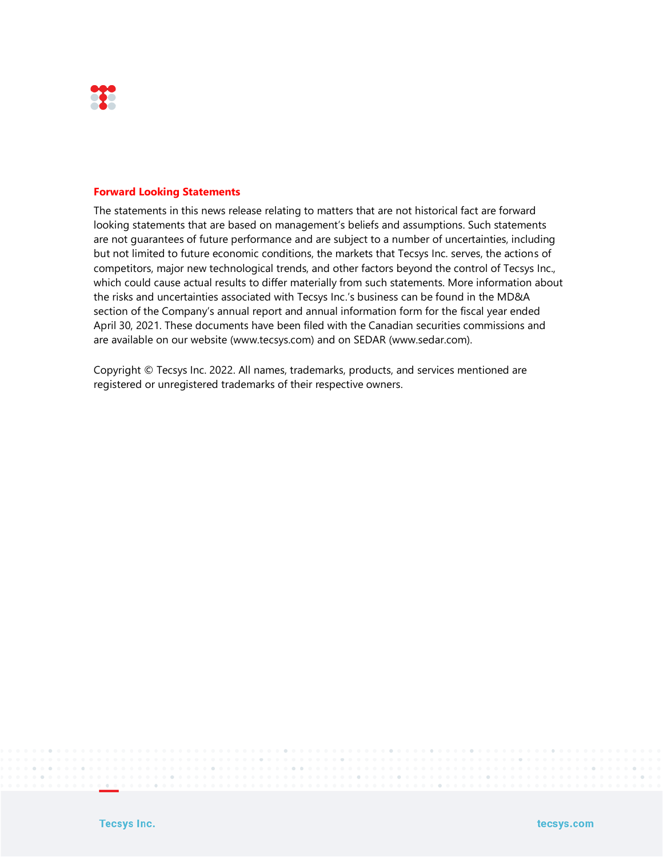

#### **Forward Looking Statements**

The statements in this news release relating to matters that are not historical fact are forward looking statements that are based on management's beliefs and assumptions. Such statements are not guarantees of future performance and are subject to a number of uncertainties, including but not limited to future economic conditions, the markets that Tecsys Inc. serves, the actions of competitors, major new technological trends, and other factors beyond the control of Tecsys Inc., which could cause actual results to differ materially from such statements. More information about the risks and uncertainties associated with Tecsys Inc.'s business can be found in the MD&A section of the Company's annual report and annual information form for the fiscal year ended April 30, 2021. These documents have been filed with the Canadian securities commissions and are available on our website (www.tecsys.com) and on SEDAR (www.sedar.com).

Copyright © Tecsys Inc. 2022. All names, trademarks, products, and services mentioned are registered or unregistered trademarks of their respective owners.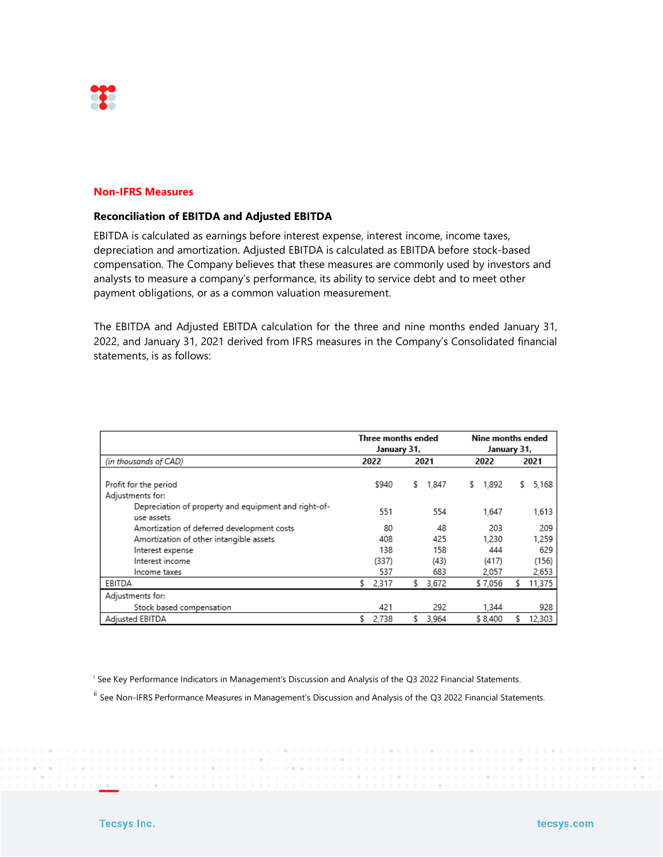

#### **Non-IFRS Measures**

### **Reconciliation of EBITDA and Adjusted EBITDA**

EBITDA is calculated as earnings before interest expense, interest income, income taxes, depreciation and amortization. Adjusted EBITDA is calculated as EBITDA before stock-based compensation. The Company believes that these measures are commonly used by investors and analysts to measure a company's performance, its ability to service debt and to meet other payment obligations, or as a common valuation measurement.

The EBITDA and Adjusted EBITDA calculation for the three and nine months ended January 31, 2022, and January 31, 2021 derived from IFRS measures in the Company's Consolidated financial statements, is as follows:

|                                                                    | Three months ended<br>January 31, |     |       | Nine months ended<br>January 31, |    |        |  |
|--------------------------------------------------------------------|-----------------------------------|-----|-------|----------------------------------|----|--------|--|
| (in thousands of CAD)                                              | 2022                              |     | 2021  | 2022                             |    | 2021   |  |
| Profit for the period<br>Adjustments for:                          | \$940                             | s   | 1,847 | 1,892<br>s                       | s. | 5,168  |  |
| Depreciation of property and equipment and right-of-<br>use assets |                                   | 551 | 554   | 1.647                            |    | 1,613  |  |
| Amortization of deferred development costs                         |                                   | 80  | 48    | 203                              |    | 209    |  |
| Amortization of other intangible assets                            |                                   | 408 | 425   | 1,230                            |    | 1,259  |  |
| Interest expense                                                   |                                   | 138 | 158   | 444                              |    | 629    |  |
| Interest income                                                    | (337)                             |     | (43)  | (417)                            |    | (156)  |  |
| Income taxes                                                       |                                   | 537 | 683   | 2,057                            |    | 2,653  |  |
| EBITDA                                                             | 2,317<br>s                        |     | 3,672 | \$7,056                          |    | 11,375 |  |
| Adjustments for:                                                   |                                   |     |       |                                  |    |        |  |
| Stock based compensation                                           |                                   | 421 | 292   | 1.344                            |    | 928    |  |
| Adjusted EBITDA                                                    | 2,738<br>s.                       | s.  | 3,964 | \$8,400                          |    | 12,303 |  |

i See Key Performance Indicators in Management's Discussion and Analysis of the Q3 2022 Financial Statements.

ii See Non-IFRS Performance Measures in Management's Discussion and Analysis of the Q3 2022 Financial Statements.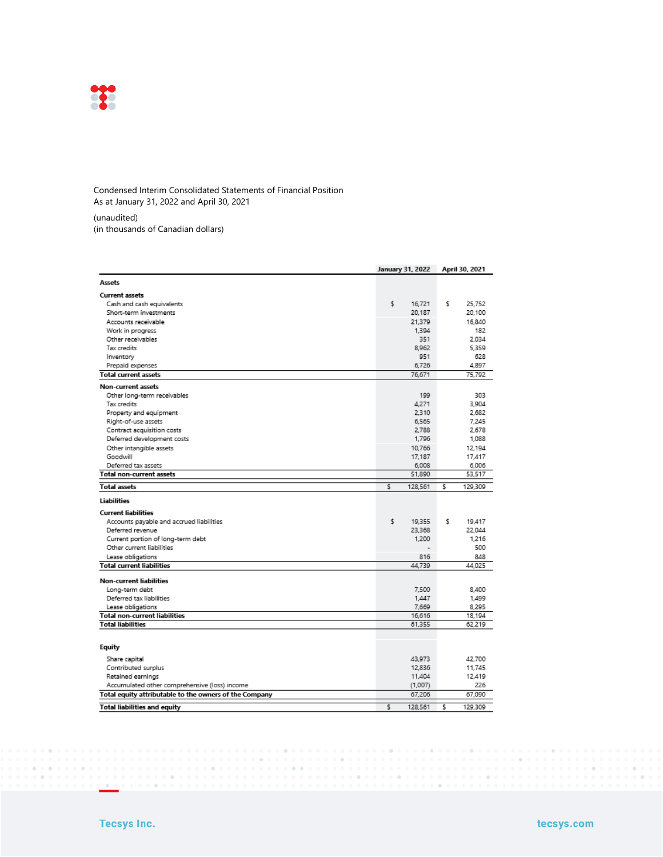

#### Condensed Interim Consolidated Statements of Financial Position As at January 31, 2022 and April 30, 2021

(unaudited)

(in thousands of Canadian dollars)

|                                                        | January 31, 2022 | April 30, 2021                     |
|--------------------------------------------------------|------------------|------------------------------------|
| Assets                                                 |                  |                                    |
| <b>Current assets</b>                                  |                  |                                    |
| Cash and cash equivalents                              | \$               | s<br>16.721<br>25.752              |
| Short-term investments                                 |                  | 20,187<br>20.100                   |
| Accounts receivable                                    |                  | 21.379<br>16.840                   |
| Work in progress                                       |                  | 1.394<br>182                       |
| Other receivables                                      |                  | 351<br>2.034                       |
| Tax credits                                            |                  | 8.962<br>5.359                     |
| Inventory                                              |                  | 951<br>628                         |
| Prepaid expenses                                       |                  | 6.726<br>4.897                     |
| <b>Total current assets</b>                            |                  | 76.671<br>75.792                   |
| Non-current assets                                     |                  |                                    |
| Other long-term receivables                            |                  | 303<br>199                         |
| Tax credits                                            |                  | 4,271<br>3,904                     |
| Property and equipment                                 |                  | 2.310<br>2.682                     |
| Right-of-use assets                                    |                  | 6.565<br>7.245                     |
| Contract acquisition costs                             |                  | 2,788<br>2.678                     |
| Deferred development costs                             |                  | 1,796<br>1.088                     |
| Other intangible assets                                |                  | 10.766<br>12.194                   |
| Goodwill                                               |                  | 17,187<br>17,417                   |
| Deferred tax assets                                    |                  | 6,008<br>6.006                     |
| Total non-current assets                               |                  | 51,890<br>53,517                   |
| <b>Total assets</b>                                    | \$<br>128,561    | \$<br>129,309                      |
| <b>Liabilities</b>                                     |                  |                                    |
| <b>Current liabilities</b>                             |                  |                                    |
| Accounts payable and accrued liabilities               | \$               | s<br>19.355<br>19,417              |
| Deferred revenue                                       |                  | 23.368<br>22.044                   |
| Current portion of long-term debt                      |                  | 1,200<br>1,216                     |
| Other current liabilities                              |                  | 500                                |
| Lease obligations                                      |                  | 816<br>848                         |
| <b>Total current liabilities</b>                       |                  | 44.739<br>44.025                   |
|                                                        |                  |                                    |
| <b>Non-current liabilities</b>                         |                  |                                    |
| Long-term debt                                         |                  | 7,500<br>8,400                     |
| Deferred tax liabilities                               |                  | 1,447<br>1,499                     |
| Lease obligations<br>Total non-current liabilities     |                  | 7,669<br>8,295<br>16,616<br>18.194 |
| <b>Total liabilities</b>                               |                  | 61,355<br>62.219                   |
|                                                        |                  |                                    |
|                                                        |                  |                                    |
| Equity                                                 |                  |                                    |
| Share capital                                          | 43,973           | 42.700                             |
| Contributed surplus                                    |                  | 12.836<br>11.745                   |
| Retained earnings                                      |                  | 11,404<br>12,419                   |
| Accumulated other comprehensive (loss) income          | (1,007)          | 226                                |
| Total equity attributable to the owners of the Company |                  | 67,206<br>67,090                   |
| <b>Total liabilities and equity</b>                    | Ś<br>128.561     | \$<br>129.309                      |

. . . . .

and and

 $\sim$  100  $\mu$ 

 $\sim$  10

 $\begin{array}{cccccccccc} 0 & 0 & 0 & 0 & 0 & 0 \end{array}$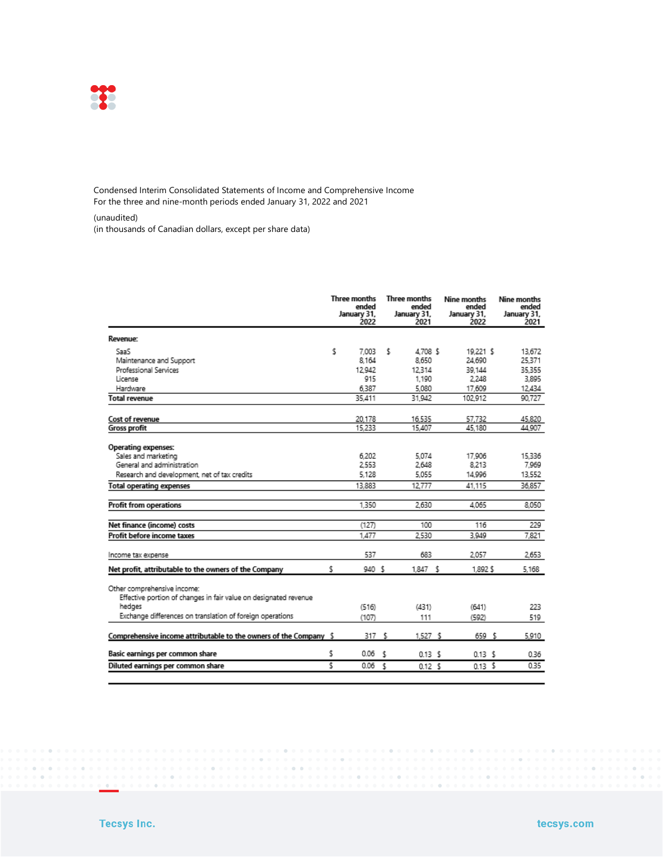

Condensed Interim Consolidated Statements of Income and Comprehensive Income For the three and nine-month periods ended January 31, 2022 and 2021

(unaudited)

(in thousands of Canadian dollars, except per share data)

|                                                                                                                                                                        | <b>Three months</b><br>ended<br>January 31,<br>2022 |                |     | Three months<br>ended<br>January 31,<br>2021 | Nine months<br>ended<br>January 31,<br>2022 | Nine months<br>ended<br>January 31,<br>2021 |  |
|------------------------------------------------------------------------------------------------------------------------------------------------------------------------|-----------------------------------------------------|----------------|-----|----------------------------------------------|---------------------------------------------|---------------------------------------------|--|
| Revenue:                                                                                                                                                               |                                                     |                |     |                                              |                                             |                                             |  |
| SaaS                                                                                                                                                                   | \$                                                  | 7.003          | \$  | 4.708 \$                                     | 19.221 \$                                   | 13.672                                      |  |
| Maintenance and Support                                                                                                                                                |                                                     | 8.164          |     | 8.650                                        | 24.690                                      | 25.371                                      |  |
| Professional Services                                                                                                                                                  |                                                     | 12942          |     | 12.314                                       | 39.144                                      | 35.355                                      |  |
| License                                                                                                                                                                |                                                     | 915            |     | 1.190                                        | 2.248                                       | 3.895                                       |  |
| Hardware                                                                                                                                                               |                                                     | 6,387          |     | 5.080                                        | 17.609                                      | 12,434                                      |  |
| Total revenue                                                                                                                                                          |                                                     | 35.411         |     | 31.942                                       | 102.912                                     | 90.727                                      |  |
| Cost of revenue                                                                                                                                                        |                                                     | 20.178         |     | 16.535                                       | 57.732                                      | 45,820                                      |  |
| <b>Gross profit</b>                                                                                                                                                    |                                                     | 15,233         |     | 15,407                                       | 45.180                                      | 44.907                                      |  |
| Operating expenses:<br>Sales and marketing                                                                                                                             |                                                     | 6.202          |     | 5.074                                        | 17,906                                      | 15.336                                      |  |
| General and administration                                                                                                                                             |                                                     | 2553           |     | 2.648                                        | 8.213                                       | 7,969                                       |  |
| Research and development, net of tax credits                                                                                                                           |                                                     | 5.128          |     | 5.055                                        | 14,996                                      | 13,552                                      |  |
| <b>Total operating expenses</b>                                                                                                                                        |                                                     | 13.883         |     | 12.777                                       | 41.115                                      | 36.857                                      |  |
|                                                                                                                                                                        |                                                     |                |     |                                              |                                             |                                             |  |
| Profit from operations                                                                                                                                                 |                                                     | 1.350          |     | 2.630                                        | 4.065                                       | 8.050                                       |  |
| Net finance (income) costs                                                                                                                                             |                                                     | (127)          |     | 100                                          | 116                                         | 229                                         |  |
| Profit before income taxes                                                                                                                                             |                                                     | 1,477          |     | 2.530                                        | 3.949                                       | 7.821                                       |  |
| Income tax expense                                                                                                                                                     |                                                     | 537            |     | 683                                          | 2.057                                       | 2.653                                       |  |
| Net profit, attributable to the owners of the Company                                                                                                                  | s.                                                  | 940 \$         |     | 1.847 S                                      | 1,892 \$                                    | 5,168                                       |  |
| Other comprehensive income:<br>Effective portion of changes in fair value on designated revenue<br>hedges<br>Exchange differences on translation of foreign operations |                                                     | (516)<br>(107) |     | (431)<br>111                                 | (641)<br>(592)                              | 223<br>519                                  |  |
| Comprehensive income attributable to the owners of the Company \$                                                                                                      |                                                     | 317            | \$  | 1.527S                                       | 659 \$                                      | 5,910                                       |  |
|                                                                                                                                                                        |                                                     |                |     |                                              |                                             |                                             |  |
| Basic earnings per common share                                                                                                                                        | \$                                                  | 0.06           | \$  | 0.13 <sup>5</sup>                            | 0.13 <sup>5</sup>                           | 0.36                                        |  |
| Diluted earnings per common share                                                                                                                                      | Ŝ                                                   | 0.06           | \$. | 0.12S                                        | $0.13\frac{5}{5}$                           | 0.35                                        |  |

 $\sim$  100

 $\alpha$ 

 $\alpha$  .  $\alpha$  .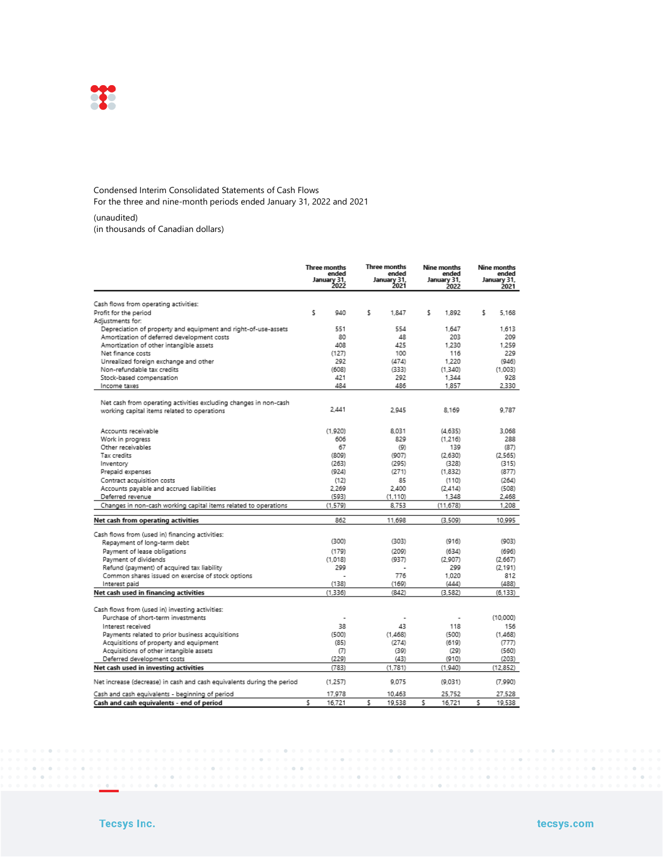

#### Condensed Interim Consolidated Statements of Cash Flows For the three and nine-month periods ended January 31, 2022 and 2021

(unaudited)

(in thousands of Canadian dollars)

|                                                                        | Three months<br>ended<br>January 31,<br>2022 |    | Three months<br>ended<br>January 31,<br>2021 | Nine months<br>ended<br>January 31,<br>2022 |   | Nine months<br>ended<br>January 31,<br>2021 |
|------------------------------------------------------------------------|----------------------------------------------|----|----------------------------------------------|---------------------------------------------|---|---------------------------------------------|
| Cash flows from operating activities:                                  |                                              |    |                                              |                                             |   |                                             |
| Profit for the period                                                  | \$<br>940                                    | \$ | 1,847                                        | \$.<br>1.892                                |   | \$<br>5.168                                 |
| Adjustments for:                                                       |                                              |    |                                              |                                             |   |                                             |
| Depreciation of property and equipment and right-of-use-assets         | 551                                          |    | 554                                          | 1,647                                       |   | 1,613                                       |
| Amortization of deferred development costs                             | 80                                           |    | 48                                           | 203                                         |   | 209                                         |
| Amortization of other intangible assets                                | 408                                          |    | 425                                          | 1.230                                       |   | 1.259                                       |
| Net finance costs                                                      | (127)                                        |    | 100                                          | 116                                         |   | 229                                         |
| Unrealized foreign exchange and other                                  | 292                                          |    | (474)                                        | 1.220                                       |   | (946)                                       |
| Non-refundable tax credits                                             | (608)                                        |    | (333)                                        | (1.340)                                     |   | (1.003)                                     |
| Stock-based compensation                                               | 421                                          |    | 292                                          | 1,344                                       |   | 928                                         |
| Income taxes                                                           | 484                                          |    | 486                                          | 1,857                                       |   | 2,330                                       |
| Net cash from operating activities excluding changes in non-cash       | 2.441                                        |    | 2.945                                        | 8.169                                       |   | 9.787                                       |
| working capital items related to operations                            |                                              |    |                                              |                                             |   |                                             |
| Accounts receivable                                                    | (1.920)                                      |    | 8.031                                        | (4.635)                                     |   | 3.068                                       |
| Work in progress                                                       | 606                                          |    | 829                                          | (1,216)                                     |   | 288                                         |
| Other receivables                                                      | 67                                           |    | (9)                                          | 139                                         |   | (87)                                        |
| Tax credits                                                            | (809)                                        |    | (907)                                        | (2,630)                                     |   | (2.565)                                     |
| Inventory                                                              | (263)                                        |    | (295)                                        | (328)                                       |   | (315)                                       |
| Prepaid expenses                                                       | (924)                                        |    | (271)                                        | (1,832)                                     |   | (877)                                       |
| Contract acquisition costs                                             | (12)                                         |    | 85                                           | (110)                                       |   | (264)                                       |
| Accounts payable and accrued liabilities                               | 2.269                                        |    | 2,400                                        | (2.414)                                     |   | (508)                                       |
| Deferred revenue                                                       | (593)                                        |    | (1.110)                                      | 1,348                                       |   | 2,468                                       |
| Changes in non-cash working capital items related to operations        | (1.579)                                      |    | 8.753                                        | (11, 678)                                   |   | 1,208                                       |
| Net cash from operating activities                                     | 862                                          |    | 11,698                                       | (3, 509)                                    |   | 10.995                                      |
| Cash flows from (used in) financing activities:                        |                                              |    |                                              |                                             |   |                                             |
| Repayment of long-term debt                                            | (300)                                        |    | (303)                                        | (916)                                       |   | (903)                                       |
| Payment of lease obligations                                           | (179)                                        |    | (209)                                        | (634)                                       |   | (696)                                       |
| Payment of dividends                                                   | (1.018)                                      |    | (937)                                        | (2.907)                                     |   | (2.667)                                     |
| Refund (payment) of acquired tax liability                             | 299                                          |    |                                              | 299                                         |   | (2.191)                                     |
| Common shares issued on exercise of stock options                      |                                              |    | 776                                          | 1.020                                       |   | 812                                         |
| Interest paid                                                          | (138)                                        |    | (169)                                        | (444)                                       |   | (488)                                       |
| Net cash used in financing activities                                  | (1.336)                                      |    | (842)                                        | (3.582)                                     |   | (6.133)                                     |
| Cash flows from (used in) investing activities:                        |                                              |    |                                              |                                             |   |                                             |
| Purchase of short-term investments                                     |                                              |    |                                              |                                             |   | (10,000)                                    |
| Interest received                                                      | 38                                           |    | 43                                           | 118                                         |   | 156                                         |
| Payments related to prior business acquisitions                        | (500)                                        |    | (1.468)                                      | (500)                                       |   | (1,468)                                     |
| Acquisitions of property and equipment                                 | (85)                                         |    | (274)                                        | (619)                                       |   | (777)                                       |
| Acquisitions of other intangible assets                                | (7)                                          |    | (39)                                         | (29)                                        |   | (560)                                       |
| Deferred development costs                                             | (229)                                        |    | (43)                                         | (910)                                       |   | (203)                                       |
| Net cash used in investing activities                                  | (783)                                        |    | (1.781)                                      | (1.940)                                     |   | (12, 852)                                   |
| Net increase (decrease) in cash and cash equivalents during the period | (1,257)                                      |    | 9.075                                        | (9.031)                                     |   | (7.990)                                     |
| Cash and cash equivalents - beginning of period                        | 17,978                                       |    | 10,463                                       | 25,752                                      |   | 27,528                                      |
| Cash and cash equivalents - end of period                              | ¢<br>16721                                   | ¢  | 10538                                        | ٢<br>16721                                  | ٢ | 10538                                       |

**CONTRACTOR** 

 $\sim$ 

 $\sim$   $\sim$